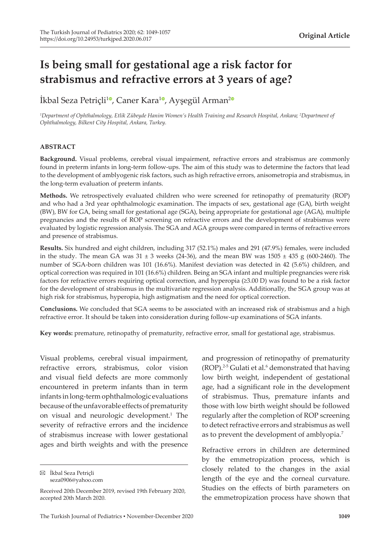# **Is being small for gestational age a risk factor for strabismus and refractive errors at 3 years of age?**

İkbal Seza Petriçli<sup>[1](https://orcid.org/0000-0002-3545-303X)0</sup>[,](https://orcid.org/0000-0002-3628-547X) Caner Kara<sup>10</sup>, Ayşegül Arman<sup>[2](https://orcid.org/0000-0003-4223-8570)0</sup>

*1 Department of Ophthalmology, Etlik Zübeyde Hanim Women's Health Training and Research Hospital, Ankara; <sup>2</sup> Department of Ophthalmology, Bilkent City Hospital, Ankara, Turkey.*

#### **ABSTRACT**

**Background.** Visual problems, cerebral visual impairment, refractive errors and strabismus are commonly found in preterm infants in long-term follow-ups. The aim of this study was to determine the factors that lead to the development of amblyogenic risk factors, such as high refractive errors, anisometropia and strabismus, in the long-term evaluation of preterm infants.

**Methods.** We retrospectively evaluated children who were screened for retinopathy of prematurity (ROP) and who had a 3rd year ophthalmologic examination. The impacts of sex, gestational age (GA), birth weight (BW), BW for GA, being small for gestational age (SGA), being appropriate for gestational age (AGA), multiple pregnancies and the results of ROP screening on refractive errors and the development of strabismus were evaluated by logistic regression analysis. The SGA and AGA groups were compared in terms of refractive errors and presence of strabismus.

**Results.** Six hundred and eight children, including 317 (52.1%) males and 291 (47.9%) females, were included in the study. The mean GA was  $31 \pm 3$  weeks (24-36), and the mean BW was  $1505 \pm 435$  g (600-2460). The number of SGA-born children was 101 (16.6%). Manifest deviation was detected in 42 (5.6%) children, and optical correction was required in 101 (16.6%) children. Being an SGA infant and multiple pregnancies were risk factors for refractive errors requiring optical correction, and hyperopia (≥3.00 D) was found to be a risk factor for the development of strabismus in the multivariate regression analysis. Additionally, the SGA group was at high risk for strabismus, hyperopia, high astigmatism and the need for optical correction.

**Conclusions.** We concluded that SGA seems to be associated with an increased risk of strabismus and a high refractive error. It should be taken into consideration during follow-up examinations of SGA infants.

**Key words:** premature, retinopathy of prematurity, refractive error, small for gestational age, strabismus.

Visual problems, cerebral visual impairment, refractive errors, strabismus, color vision and visual field defects are more commonly encountered in preterm infants than in term infants in long-term ophthalmologic evaluations because of the unfavorable effects of prematurity on visual and neurologic development.<sup>1</sup> The severity of refractive errors and the incidence of strabismus increase with lower gestational ages and birth weights and with the presence

İkbal Seza Petriçli seza0906@yahoo.com

and progression of retinopathy of prematurity  $(ROP).<sup>2-5</sup>$  Gulati et al.<sup>6</sup> demonstrated that having low birth weight, independent of gestational age, had a significant role in the development of strabismus. Thus, premature infants and those with low birth weight should be followed regularly after the completion of ROP screening to detect refractive errors and strabismus as well as to prevent the development of amblyopia.7

Refractive errors in children are determined by the emmetropization process, which is

closely related to the changes in the axial length of the eye and the corneal curvature. Studies on the effects of birth parameters on the emmetropization process have shown that

Received 20th December 2019, revised 19th February 2020, accepted 20th March 2020.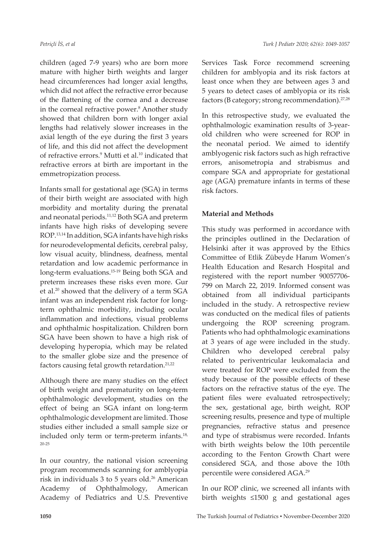children (aged 7-9 years) who are born more mature with higher birth weights and larger head circumferences had longer axial lengths, which did not affect the refractive error because of the flattening of the cornea and a decrease in the corneal refractive power.<sup>8</sup> Another study showed that children born with longer axial lengths had relatively slower increases in the axial length of the eye during the first 3 years of life, and this did not affect the development of refractive errors.<sup>9</sup> Mutti et al.10 indicated that refractive errors at birth are important in the emmetropization process.

Infants small for gestational age (SGA) in terms of their birth weight are associated with high morbidity and mortality during the prenatal and neonatal periods.11,12 Both SGA and preterm infants have high risks of developing severe ROP.13,14 In addition, SGA infants have high risks for neurodevelopmental deficits, cerebral palsy, low visual acuity, blindness, deafness, mental retardation and low academic performance in long-term evaluations.<sup>15-19</sup> Being both SGA and preterm increases these risks even more. Gur et al.20 showed that the delivery of a term SGA infant was an independent risk factor for longterm ophthalmic morbidity, including ocular inflammation and infections, visual problems and ophthalmic hospitalization. Children born SGA have been shown to have a high risk of developing hyperopia, which may be related to the smaller globe size and the presence of factors causing fetal growth retardation.<sup>21,22</sup>

Although there are many studies on the effect of birth weight and prematurity on long-term ophthalmologic development, studies on the effect of being an SGA infant on long-term ophthalmologic development are limited. Those studies either included a small sample size or included only term or term-preterm infants.<sup>18,</sup> 20-25

In our country, the national vision screening program recommends scanning for amblyopia risk in individuals 3 to 5 years old.<sup>26</sup> American Academy of Ophthalmology, American Academy of Pediatrics and U.S. Preventive

Services Task Force recommend screening children for amblyopia and its risk factors at least once when they are between ages 3 and 5 years to detect cases of amblyopia or its risk factors (B category; strong recommendation). $27,28$ 

In this retrospective study, we evaluated the ophthalmologic examination results of 3-yearold children who were screened for ROP in the neonatal period. We aimed to identify amblyogenic risk factors such as high refractive errors, anisometropia and strabismus and compare SGA and appropriate for gestational age (AGA) premature infants in terms of these risk factors.

### **Material and Methods**

This study was performed in accordance with the principles outlined in the Declaration of Helsinki after it was approved by the Ethics Committee of Etlik Zübeyde Hanım Women's Health Education and Resarch Hospital and registered with the report number 90057706- 799 on March 22, 2019. Informed consent was obtained from all individual participants included in the study. A retrospective review was conducted on the medical files of patients undergoing the ROP screening program. Patients who had ophthalmologic examinations at 3 years of age were included in the study. Children who developed cerebral palsy related to periventricular leukomalacia and were treated for ROP were excluded from the study because of the possible effects of these factors on the refractive status of the eye. The patient files were evaluated retrospectively; the sex, gestational age, birth weight, ROP screening results, presence and type of multiple pregnancies, refractive status and presence and type of strabismus were recorded. Infants with birth weights below the 10th percentile according to the Fenton Growth Chart were considered SGA, and those above the 10th percentile were considered AGA.29

In our ROP clinic, we screened all infants with birth weights ≤1500 g and gestational ages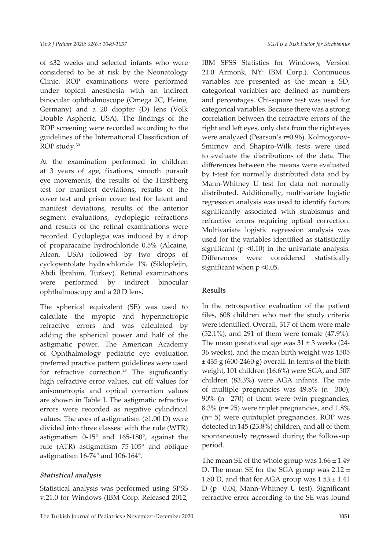of ≤32 weeks and selected infants who were considered to be at risk by the Neonatology Clinic. ROP examinations were performed under topical anesthesia with an indirect binocular ophthalmoscope (Omega 2C, Heine, Germany) and a 20 diopter (D) lens (Volk Double Aspheric, USA). The findings of the ROP screening were recorded according to the guidelines of the International Classification of ROP study.30

At the examination performed in children at 3 years of age, fixations, smooth pursuit eye movements, the results of the Hirshberg test for manifest deviations, results of the cover test and prism cover test for latent and manifest deviations, results of the anterior segment evaluations, cycloplegic refractions and results of the retinal examinations were recorded. Cycloplegia was induced by a drop of proparacaine hydrochloride 0.5% (Alcaine, Alcon, USA) followed by two drops of cyclopentolate hydrochloride 1% (Sikloplejin, Abdi İbrahim, Turkey). Retinal examinations were performed by indirect binocular ophthalmoscopy and a 20 D lens.

The spherical equivalent (SE) was used to calculate the myopic and hypermetropic refractive errors and was calculated by adding the spherical power and half of the astigmatic power. The American Academy of Ophthalmology pediatric eye evaluation preferred practice pattern guidelines were used for refractive correction.<sup>28</sup> The significantly high refractive error values, cut off values for anisometropia and optical correction values are shown in Table I. The astigmatic refractive errors were recorded as negative cylindrical values. The axes of astigmatism  $(≥1.00 D)$  were divided into three classes: with the rule (WTR) astigmatism 0-15° and 165-180°, against the rule (ATR) astigmatism 75-105° and oblique astigmatism 16-74° and 106-164°.

#### *Statistical analysis*

Statistical analysis was performed using SPSS v.21.0 for Windows (IBM Corp. Released 2012, IBM SPSS Statistics for Windows, Version 21.0 Armonk, NY: IBM Corp.). Continuous variables are presented as the mean ± SD; categorical variables are defined as numbers and percentages. Chi-square test was used for categorical variables. Because there was a strong correlation between the refractive errors of the right and left eyes, only data from the right eyes were analyzed (Pearson's r=0.96). Kolmogorov-Smirnov and Shapiro-Wilk tests were used to evaluate the distributions of the data. The differences between the means were evaluated by t-test for normally distributed data and by Mann-Whitney U test for data not normally distributed. Additionally, multivariate logistic regression analysis was used to identify factors significantly associated with strabismus and refractive errors requiring optical correction. Multivariate logistic regression analysis was used for the variables identified as statistically significant ( $p \le 0.10$ ) in the univariate analysis. Differences were considered statistically significant when p <0.05.

#### **Results**

In the retrospective evaluation of the patient files, 608 children who met the study criteria were identified. Overall, 317 of them were male (52.1%), and 291 of them were female (47.9%). The mean gestational age was  $31 \pm 3$  weeks (24-36 weeks), and the mean birth weight was 1505  $\pm$  435 g (600-2460 g) overall. In terms of the birth weight, 101 children (16.6%) were SGA, and 507 children (83.3%) were AGA infants. The rate of multiple pregnancies was 49.8% (n= 300); 90% (n= 270) of them were twin pregnancies, 8.3% (n= 25) were triplet pregnancies, and 1.8% (n= 5) were quintuplet pregnancies. ROP was detected in 145 (23.8%) children, and all of them spontaneously regressed during the follow-up period.

The mean SE of the whole group was  $1.66 \pm 1.49$ D. The mean SE for the SGA group was 2.12 ± 1.80 D, and that for AGA group was  $1.53 \pm 1.41$ D (p= 0.04, Mann-Whitney U test). Significant refractive error according to the SE was found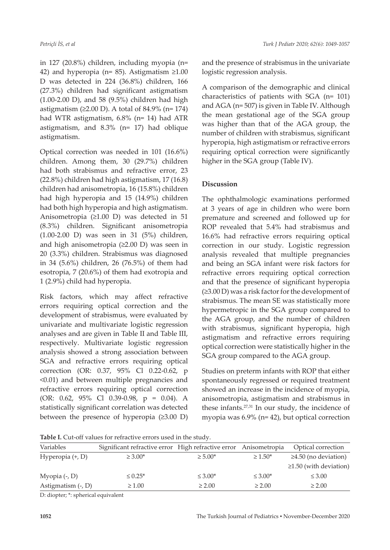in 127 (20.8%) children, including myopia (n= 42) and hyperopia (n= 85). Astigmatism  $\geq 1.00$ D was detected in 224 (36.8%) children, 166 (27.3%) children had significant astigmatism (1.00-2.00 D), and 58 (9.5%) children had high astigmatism  $(≥2.00 D)$ . A total of 84.9% (n= 174) had WTR astigmatism, 6.8% (n= 14) had ATR astigmatism, and 8.3% (n= 17) had oblique astigmatism.

Optical correction was needed in 101 (16.6%) children. Among them, 30 (29.7%) children had both strabismus and refractive error, 23 (22.8%) children had high astigmatism, 17 (16.8) children had anisometropia, 16 (15.8%) children had high hyperopia and 15 (14.9%) children had both high hyperopia and high astigmatism. Anisometropia (≥1.00 D) was detected in 51 (8.3%) children. Significant anisometropia (1.00-2.00 D) was seen in 31 (5%) children, and high anisometropia (≥2.00 D) was seen in 20 (3.3%) children. Strabismus was diagnosed in 34 (5.6%) children, 26 (76.5%) of them had esotropia, 7 (20.6%) of them had exotropia and 1 (2.9%) child had hyperopia.

Risk factors, which may affect refractive errors requiring optical correction and the development of strabismus, were evaluated by univariate and multivariate logistic regression analyses and are given in Table II and Table III, respectively. Multivariate logistic regression analysis showed a strong association between SGA and refractive errors requiring optical correction (OR: 0.37, 95% Cl 0.22-0.62, p <0.01) and between multiple pregnancies and refractive errors requiring optical correction (OR: 0.62, 95% Cl 0.39-0.98, p = 0.04). A statistically significant correlation was detected between the presence of hyperopia (≥3.00 D)

and the presence of strabismus in the univariate logistic regression analysis.

A comparison of the demographic and clinical characteristics of patients with SGA (n= 101) and AGA (n= 507) is given in Table IV. Although the mean gestational age of the SGA group was higher than that of the AGA group, the number of children with strabismus, significant hyperopia, high astigmatism or refractive errors requiring optical correction were significantly higher in the SGA group (Table IV).

## **Discussion**

The ophthalmologic examinations performed at 3 years of age in children who were born premature and screened and followed up for ROP revealed that 5.4% had strabismus and 16.6% had refractive errors requiring optical correction in our study. Logistic regression analysis revealed that multiple pregnancies and being an SGA infant were risk factors for refractive errors requiring optical correction and that the presence of significant hyperopia (≥3.00 D) was a risk factor for the development of strabismus. The mean SE was statistically more hypermetropic in the SGA group compared to the AGA group, and the number of children with strabismus, significant hyperopia, high astigmatism and refractive errors requiring optical correction were statistically higher in the SGA group compared to the AGA group.

Studies on preterm infants with ROP that either spontaneously regressed or required treatment showed an increase in the incidence of myopia, anisometropia, astigmatism and strabismus in these infants.27,31 In our study, the incidence of myopia was 6.9% (n= 42), but optical correction

Table I. Cut-off values for refractive errors used in the study.

| Variables          | Significant refractive error High refractive error Anisometropia |              |              | Optical correction           |
|--------------------|------------------------------------------------------------------|--------------|--------------|------------------------------|
| Hyperopia $(+, D)$ | $\geq 3.00*$                                                     | $\geq 5.00*$ | $\geq 1.50*$ | $\geq$ 4.50 (no deviation)   |
|                    |                                                                  |              |              | $\geq$ 1.50 (with deviation) |
| Myopia $(-, D)$    | $\leq 0.25^*$                                                    | $\leq 3.00*$ | $\leq 3.00*$ | $\leq 3.00$                  |
| Astigmatism (-, D) | $\geq 1.00$                                                      | $\geq 2.00$  | $\geq 2.00$  | $\geq 2.00$                  |

D: diopter; \*: spherical equivalent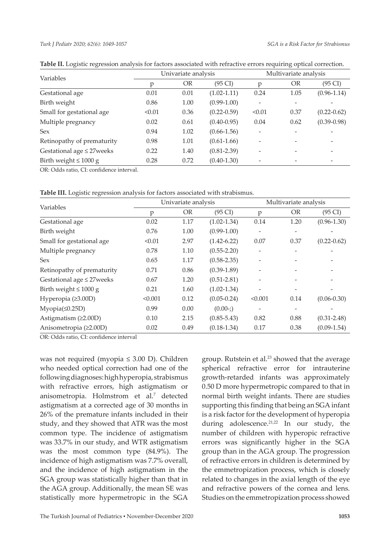#### *Turk J Pediatr 2020; 62(6): 1049-1057*

| Variables                       | Univariate analysis |      |                   | Multivariate analysis    |      |                          |
|---------------------------------|---------------------|------|-------------------|--------------------------|------|--------------------------|
|                                 | р                   | OR   | $(95 \text{ CI})$ | р                        | OR   | $(95 \text{ CI})$        |
| Gestational age                 | 0.01                | 0.01 | $(1.02 - 1.11)$   | 0.24                     | 1.05 | $(0.96 - 1.14)$          |
| Birth weight                    | 0.86                | 1.00 | $(0.99-1.00)$     |                          |      |                          |
| Small for gestational age       | < 0.01              | 0.36 | $(0.22 - 0.59)$   | < 0.01                   | 0.37 | $(0.22 - 0.62)$          |
| Multiple pregnancy              | 0.02                | 0.61 | $(0.40 - 0.95)$   | 0.04                     | 0.62 | $(0.39 - 0.98)$          |
| <b>Sex</b>                      | 0.94                | 1.02 | $(0.66 - 1.56)$   |                          |      |                          |
| Retinopathy of prematurity      | 0.98                | 1.01 | $(0.61-1.66)$     | $\overline{\phantom{a}}$ |      | $\overline{\phantom{a}}$ |
| Gestational age $\leq$ 27 weeks | 0.22                | 1.40 | $(0.81 - 2.39)$   |                          |      | $\overline{\phantom{0}}$ |
| Birth weight $\leq 1000$ g      | 0.28                | 0.72 | $(0.40 - 1.30)$   |                          |      | $\overline{\phantom{a}}$ |

**Table II.** Logistic regression analysis for factors associated with refractive errors requiring optical correction.

OR: Odds ratio, CI: confidence interval.

|  |  |  |  |  |  | Table III. Logistic regression analysis for factors associated with strabismus. |
|--|--|--|--|--|--|---------------------------------------------------------------------------------|
|--|--|--|--|--|--|---------------------------------------------------------------------------------|

| Variables                       | Univariate analysis |           |                   | Multivariate analysis |           |                   |
|---------------------------------|---------------------|-----------|-------------------|-----------------------|-----------|-------------------|
|                                 | p                   | <b>OR</b> | $(95 \text{ CI})$ | p                     | <b>OR</b> | $(95 \text{ CI})$ |
| Gestational age                 | 0.02                | 1.17      | $(1.02 - 1.34)$   | 0.14                  | 1.20      | $(0.96 - 1.30)$   |
| Birth weight                    | 0.76                | 1.00      | $(0.99-1.00)$     |                       |           |                   |
| Small for gestational age       | < 0.01              | 2.97      | $(1.42 - 6.22)$   | 0.07                  | 0.37      | $(0.22 - 0.62)$   |
| Multiple pregnancy              | 0.78                | 1.10      | $(0.55 - 2.20)$   |                       |           |                   |
| Sex                             | 0.65                | 1.17      | $(0.58 - 2.35)$   |                       |           |                   |
| Retinopathy of prematurity      | 0.71                | 0.86      | $(0.39-1.89)$     |                       |           |                   |
| Gestational age $\leq$ 27 weeks | 0.67                | 1.20      | $(0.51 - 2.81)$   |                       |           |                   |
| Birth weight $\leq 1000$ g      | 0.21                | 1.60      | $(1.02 - 1.34)$   |                       |           |                   |
| Hyperopia $(≥3.00D)$            | < 0.001             | 0.12      | $(0.05 - 0.24)$   | < 0.001               | 0.14      | $(0.06 - 0.30)$   |
| $Myopia(\leq 0.25D)$            | 0.99                | 0.00      | $(0.00-$ ;)       |                       |           |                   |
| Astigmatism $(22.00D)$          | 0.10                | 2.15      | $(0.85 - 5.43)$   | 0.82                  | 0.88      | $(0.31 - 2.48)$   |
| Anisometropia (≥2.00D)          | 0.02                | 0.49      | $(0.18 - 1.34)$   | 0.17                  | 0.38      | $(0.09-1.54)$     |

OR: Odds ratio, CI: confidence interval

was not required (myopia ≤ 3.00 D). Children who needed optical correction had one of the following diagnoses: high hyperopia, strabismus with refractive errors, high astigmatism or anisometropia. Holmstrom et al.7 detected astigmatism at a corrected age of 30 months in 26% of the premature infants included in their study, and they showed that ATR was the most common type. The incidence of astigmatism was 33.7% in our study, and WTR astigmatism was the most common type (84.9%). The incidence of high astigmatism was 7.7% overall, and the incidence of high astigmatism in the SGA group was statistically higher than that in the AGA group. Additionally, the mean SE was statistically more hypermetropic in the SGA

group. Rutstein et al.23 showed that the average spherical refractive error for intrauterine growth-retarded infants was approximately 0.50 D more hypermetropic compared to that in normal birth weight infants. There are studies supporting this finding that being an SGA infant is a risk factor for the development of hyperopia during adolescence.<sup>21,22</sup> In our study, the number of children with hyperopic refractive errors was significantly higher in the SGA group than in the AGA group. The progression of refractive errors in children is determined by the emmetropization process, which is closely related to changes in the axial length of the eye and refractive powers of the cornea and lens. Studies on the emmetropization process showed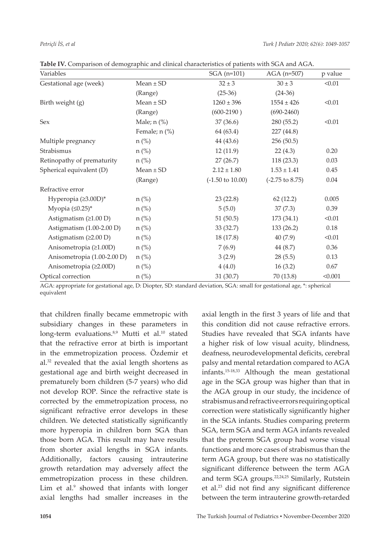| Variables                   |                 | $SGA (n=101)$               | $AGA$ (n=507)              | p value  |
|-----------------------------|-----------------|-----------------------------|----------------------------|----------|
| Gestational age (week)      | $Mean \pm SD$   | $32 \pm 3$                  | $30 \pm 3$                 | < 0.01   |
|                             | (Range)         | $(25-36)$                   | $(24-36)$                  |          |
| Birth weight (g)            | $Mean \pm SD$   | $1260 \pm 396$              | $1554 \pm 426$             | < 0.01   |
|                             | (Range)         | $(600-2190)$                | $(690-2460)$               |          |
| Sex                         | Male; $n$ $%$   | 37(36.6)                    | 280 (55.2)                 | < 0.01   |
|                             | Female; $n$ (%) | 64 (63.4)                   | 227 (44.8)                 |          |
| Multiple pregnancy          | $n$ (%)         | 44 (43.6)                   | 256(50.5)                  |          |
| Strabismus                  | $n$ (%)         | 12(11.9)                    | 22(4.3)                    | 0.20     |
| Retinopathy of prematurity  | $n$ (%)         | 27(26.7)                    | 118(23.3)                  | 0.03     |
| Spherical equivalent (D)    | $Mean \pm SD$   | $2.12 \pm 1.80$             | $1.53 \pm 1.41$            | 0.45     |
|                             | (Range)         | $(-1.50 \text{ to } 10.00)$ | $(-2.75 \text{ to } 8.75)$ | 0.04     |
| Refractive error            |                 |                             |                            |          |
| Hyperopia (≥3.00D)*         | $n$ (%)         | 23(22.8)                    | 62(12.2)                   | 0.005    |
| Myopia $(\leq 0.25)^*$      | $n$ (%)         | 5(5.0)                      | 37(7.3)                    | 0.39     |
| Astigmatism $(21.00 D)$     | $n$ (%)         | 51(50.5)                    | 173 (34.1)                 | < 0.01   |
| Astigmatism (1.00-2.00 D)   | $n$ (%)         | 33(32.7)                    | 133 (26.2)                 | $0.18\,$ |
| Astigmatism $(22.00 D)$     | $n$ (%)         | 18(17.8)                    | 40(7.9)                    | < 0.01   |
| Anisometropia (≥1.00D)      | $n$ (%)         | 7(6.9)                      | 44 (8.7)                   | 0.36     |
| Anisometropia (1.00-2.00 D) | $n$ (%)         | 3(2.9)                      | 28(5.5)                    | 0.13     |
| Anisometropia (≥2.00D)      | $n$ (%)         | 4(4.0)                      | 16(3.2)                    | 0.67     |
| Optical correction          | $n$ (%)         | 31(30.7)                    | 70(13.8)                   | < 0.001  |

**Table IV.** Comparison of demographic and clinical characteristics of patients with SGA and AGA.

AGA: appropriate for gestational age, D: Diopter, SD: standard deviation, SGA: small for gestational age, \*: spherical equivalent

that children finally became emmetropic with subsidiary changes in these parameters in long-term evaluations.<sup>8,9</sup> Mutti et al.<sup>10</sup> stated that the refractive error at birth is important in the emmetropization process. Özdemir et al.32 revealed that the axial length shortens as gestational age and birth weight decreased in prematurely born children (5-7 years) who did not develop ROP. Since the refractive state is corrected by the emmetropization process, no significant refractive error develops in these children. We detected statistically significantly more hyperopia in children born SGA than those born AGA. This result may have results from shorter axial lengths in SGA infants. Additionally, factors causing intrauterine growth retardation may adversely affect the emmetropization process in these children. Lim et al.<sup>9</sup> showed that infants with longer axial lengths had smaller increases in the

axial length in the first 3 years of life and that this condition did not cause refractive errors. Studies have revealed that SGA infants have a higher risk of low visual acuity, blindness, deafness, neurodevelopmental deficits, cerebral palsy and mental retardation compared to AGA infants.15-18,33 Although the mean gestational age in the SGA group was higher than that in the AGA group in our study, the incidence of strabismus and refractive errors requiring optical correction were statistically significantly higher in the SGA infants. Studies comparing preterm SGA, term SGA and term AGA infants revealed that the preterm SGA group had worse visual functions and more cases of strabismus than the term AGA group, but there was no statistically significant difference between the term AGA and term SGA groups.<sup>22,24,25</sup> Similarly, Rutstein et al.<sup>23</sup> did not find any significant difference between the term intrauterine growth-retarded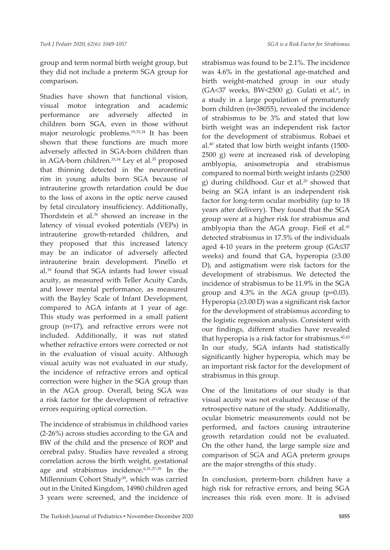group and term normal birth weight group, but they did not include a preterm SGA group for comparison.

Studies have shown that functional vision, visual motor integration and academic performance are adversely affected in children born SGA, even in those without major neurologic problems.19,33,34 It has been shown that these functions are much more adversely affected in SGA-born children than in AGA-born children.<sup>33,34</sup> Ley et al.<sup>35</sup> proposed that thinning detected in the neuroretinal rim in young adults born SGA because of intrauterine growth retardation could be due to the loss of axons in the optic nerve caused by fetal circulatory insufficiency. Additionally, Thordstein et al.<sup>36</sup> showed an increase in the latency of visual evoked potentials (VEPs) in intrauterine growth-retarded children, and they proposed that this increased latency may be an indicator of adversely affected intrauterine brain development. Pinello et al.18 found that SGA infants had lower visual acuity, as measured with Teller Acuity Cards, and lower mental performance, as measured with the Bayley Scale of Infant Development, compared to AGA infants at 1 year of age. This study was performed in a small patient group (n=17), and refractive errors were not included. Additionally, it was not stated whether refractive errors were corrected or not in the evaluation of visual acuity. Although visual acuity was not evaluated in our study, the incidence of refractive errors and optical correction were higher in the SGA group than in the AGA group. Overall, being SGA was a risk factor for the development of refractive errors requiring optical correction.

The incidence of strabismus in childhood varies (2-26%) across studies according to the GA and BW of the child and the presence of ROP and cerebral palsy. Studies have revealed a strong correlation across the birth weight, gestational age and strabismus incidence.6,31,37-39 In the Millennium Cohort Study<sup>39</sup>, which was carried out in the United Kingdom, 14980 children aged 3 years were screened, and the incidence of

strabismus was found to be 2.1%. The incidence was 4.6% in the gestational age-matched and birth weight-matched group in our study  $(GA<37$  weeks, BW<2500 g). Gulati et al.<sup>6</sup>, in a study in a large population of prematurely born children (n=38055), revealed the incidence of strabismus to be 3% and stated that low birth weight was an independent risk factor for the development of strabismus. Robaei et al.40 stated that low birth weight infants (1500- 2500 g) were at increased risk of developing amblyopia, anisometropia and strabismus compared to normal birth weight infants (≥2500 g) during childhood. Gur et al. $20$  showed that being an SGA infant is an independent risk factor for long-term ocular morbidity (up to 18 years after delivery). They found that the SGA group were at a higher risk for strabismus and amblyopia than the AGA group. Fieß et al.<sup>41</sup> detected strabismus in 17.5% of the individuals aged 4-10 years in the preterm group (GA≤37 weeks) and found that GA, hyperopia (≥3.00 D), and astigmatism were risk factors for the development of strabismus. We detected the incidence of strabismus to be 11.9% in the SGA group and 4.3% in the AGA group (p=0.03). Hyperopia (≥3.00 D) was a significant risk factor for the development of strabismus according to the logistic regression analysis. Consistent with our findings, different studies have revealed that hyperopia is a risk factor for strabismus.<sup>42,43</sup> In our study, SGA infants had statistically significantly higher hyperopia, which may be an important risk factor for the development of strabismus in this group.

One of the limitations of our study is that visual acuity was not evaluated because of the retrospective nature of the study. Additionally, ocular biometric measurements could not be performed, and factors causing intrauterine growth retardation could not be evaluated. On the other hand, the large sample size and comparison of SGA and AGA preterm groups are the major strengths of this study.

In conclusion, preterm-born children have a high risk for refractive errors, and being SGA increases this risk even more. It is advised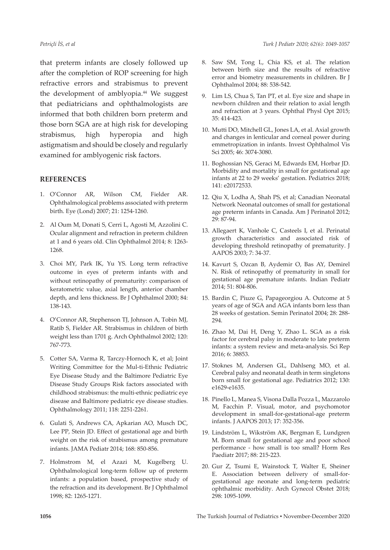that preterm infants are closely followed up after the completion of ROP screening for high refractive errors and strabismus to prevent the development of amblyopia.<sup>44</sup> We suggest that pediatricians and ophthalmologists are informed that both children born preterm and those born SGA are at high risk for developing strabismus, high hyperopia and high astigmatism and should be closely and regularly examined for amblyogenic risk factors.

#### **REFERENCES**

- 1. O'Connor AR, Wilson CM, Fielder AR. Ophthalmological problems associated with preterm birth. Eye (Lond) 2007; 21: 1254-1260.
- 2. Al Oum M, Donati S, Cerri L, Agosti M, Azzolini C. Ocular alignment and refraction in preterm children at 1 and 6 years old. Clin Ophthalmol 2014; 8: 1263- 1268.
- 3. Choi MY, Park IK, Yu YS. Long term refractive outcome in eyes of preterm infants with and without retinopathy of prematurity: comparison of keratometric value, axial length, anterior chamber depth, and lens thickness. Br J Ophthalmol 2000; 84: 138-143.
- 4. O'Connor AR, Stephenson TJ, Johnson A, Tobin MJ, Ratib S, Fielder AR. Strabismus in children of birth weight less than 1701 g. Arch Ophthalmol 2002; 120: 767-773.
- 5. Cotter SA, Varma R, Tarczy-Hornoch K, et al; Joint Writing Committee for the Mul-ti-Ethnic Pediatric Eye Disease Study and the Baltimore Pediatric Eye Disease Study Groups Risk factors associated with childhood strabismus: the multi-ethnic pediatric eye disease and Baltimore pediatric eye disease studies. Ophthalmology 2011; 118: 2251-2261.
- 6. Gulati S, Andrews CA, Apkarian AO, Musch DC, Lee PP, Stein JD. Effect of gestational age and birth weight on the risk of strabismus among premature infants. JAMA Pediatr 2014; 168: 850-856.
- 7. Holmstrom M, el Azazi M, Kugelberg U. Ophthalmological long-term follow up of preterm infants: a population based, prospective study of the refraction and its development. Br J Ophthalmol 1998; 82: 1265-1271.
- 8. Saw SM, Tong L, Chia KS, et al. The relation between birth size and the results of refractive error and biometry measurements in children. Br J Ophthalmol 2004; 88: 538-542.
- 9. Lim LS, Chua S, Tan PT, et al. Eye size and shape in newborn children and their relation to axial length and refraction at 3 years. Ophthal Physl Opt 2015; 35: 414-423.
- 10. Mutti DO, Mitchell GL, Jones LA, et al. Axial growth and changes in lenticular and corneal power during emmetropization in infants. Invest Ophthalmol Vis Sci 2005; 46: 3074-3080.
- 11. Boghossian NS, Geraci M, Edwards EM, Horbar JD. Morbidity and mortality in small for gestational age infants at 22 to 29 weeks' gestation. Pediatrics 2018; 141: e20172533.
- 12. Qiu X, Lodha A, Shah PS, et al; Canadian Neonatal Network Neonatal outcomes of small for gestational age preterm infants in Canada. Am J Perinatol 2012; 29: 87-94.
- 13. Allegaert K, Vanhole C, Casteels I, et al. Perinatal growth characteristics and associated risk of developing threshold retinopathy of prematurity. J AAPOS 2003; 7: 34-37.
- 14. Kavurt S, Ozcan B, Aydemir O, Bas AY, Demirel N. Risk of retinopathy of prematurity in small for gestational age premature infants. Indian Pediatr 2014; 51: 804-806.
- 15. Bardin C, Piuze G, Papageorgiou A. Outcome at 5 years of age of SGA and AGA infants born less than 28 weeks of gestation. Semin Perinatol 2004; 28: 288- 294.
- 16. Zhao M, Dai H, Deng Y, Zhao L. SGA as a risk factor for cerebral palsy in moderate to late preterm infants: a system review and meta-analysis. Sci Rep 2016; 6: 38853.
- 17. Stoknes M, Andersen GL, Dahlseng MO, et al. Cerebral palsy and neonatal death in term singletons born small for gestational age. Pediatrics 2012; 130: e1629-e1635.
- 18. Pinello L, Manea S, Visona Dalla Pozza L, Mazzarolo M, Facchin P. Visual, motor, and psychomotor development in small-for-gestational-age preterm infants. J AAPOS 2013; 17: 352-356.
- 19. Lindström L, Wikström AK, Bergman E, Lundgren M. Born small for gestational age and poor school performance - how small is too small? Horm Res Paediatr 2017; 88: 215-223.
- 20. Gur Z, Tsumi E, Wainstock T, Walter E, Sheiner E. Association between delivery of small-forgestational age neonate and long-term pediatric ophthalmic morbidity. Arch Gynecol Obstet 2018; 298: 1095-1099.